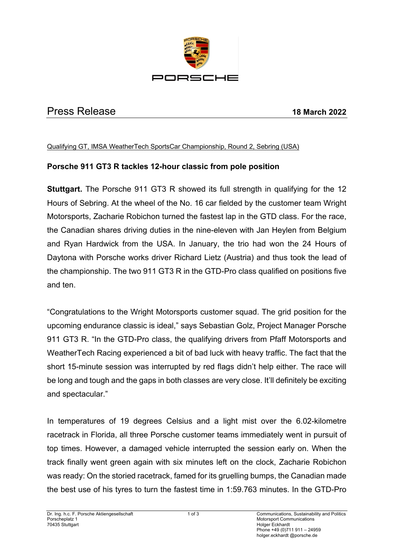

# Press Release **18 March 2022**

#### Qualifying GT, IMSA WeatherTech SportsCar Championship, Round 2, Sebring (USA)

### **Porsche 911 GT3 R tackles 12-hour classic from pole position**

**Stuttgart.** The Porsche 911 GT3 R showed its full strength in qualifying for the 12 Hours of Sebring. At the wheel of the No. 16 car fielded by the customer team Wright Motorsports, Zacharie Robichon turned the fastest lap in the GTD class. For the race, the Canadian shares driving duties in the nine-eleven with Jan Heylen from Belgium and Ryan Hardwick from the USA. In January, the trio had won the 24 Hours of Daytona with Porsche works driver Richard Lietz (Austria) and thus took the lead of the championship. The two 911 GT3 R in the GTD-Pro class qualified on positions five and ten.

"Congratulations to the Wright Motorsports customer squad. The grid position for the upcoming endurance classic is ideal," says Sebastian Golz, Project Manager Porsche 911 GT3 R. "In the GTD-Pro class, the qualifying drivers from Pfaff Motorsports and WeatherTech Racing experienced a bit of bad luck with heavy traffic. The fact that the short 15-minute session was interrupted by red flags didn't help either. The race will be long and tough and the gaps in both classes are very close. It'll definitely be exciting and spectacular."

In temperatures of 19 degrees Celsius and a light mist over the 6.02-kilometre racetrack in Florida, all three Porsche customer teams immediately went in pursuit of top times. However, a damaged vehicle interrupted the session early on. When the track finally went green again with six minutes left on the clock, Zacharie Robichon was ready: On the storied racetrack, famed for its gruelling bumps, the Canadian made the best use of his tyres to turn the fastest time in 1:59.763 minutes. In the GTD-Pro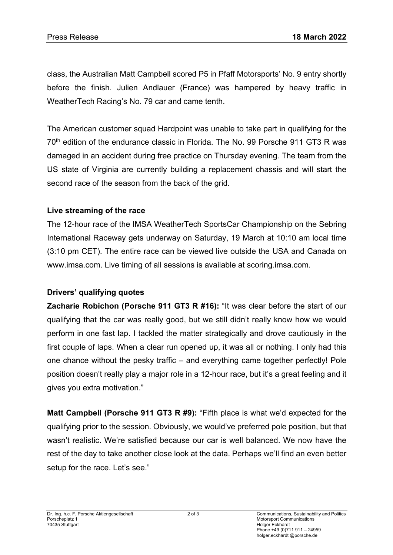class, the Australian Matt Campbell scored P5 in Pfaff Motorsports' No. 9 entry shortly before the finish. Julien Andlauer (France) was hampered by heavy traffic in WeatherTech Racing's No. 79 car and came tenth.

The American customer squad Hardpoint was unable to take part in qualifying for the 70<sup>th</sup> edition of the endurance classic in Florida. The No. 99 Porsche 911 GT3 R was damaged in an accident during free practice on Thursday evening. The team from the US state of Virginia are currently building a replacement chassis and will start the second race of the season from the back of the grid.

### **Live streaming of the race**

The 12-hour race of the IMSA WeatherTech SportsCar Championship on the Sebring International Raceway gets underway on Saturday, 19 March at 10:10 am local time (3:10 pm CET). The entire race can be viewed live outside the USA and Canada on www.imsa.com. Live timing of all sessions is available at scoring.imsa.com.

## **Drivers' qualifying quotes**

**Zacharie Robichon (Porsche 911 GT3 R #16):** "It was clear before the start of our qualifying that the car was really good, but we still didn't really know how we would perform in one fast lap. I tackled the matter strategically and drove cautiously in the first couple of laps. When a clear run opened up, it was all or nothing. I only had this one chance without the pesky traffic – and everything came together perfectly! Pole position doesn't really play a major role in a 12-hour race, but it's a great feeling and it gives you extra motivation."

**Matt Campbell (Porsche 911 GT3 R #9):** "Fifth place is what we'd expected for the qualifying prior to the session. Obviously, we would've preferred pole position, but that wasn't realistic. We're satisfied because our car is well balanced. We now have the rest of the day to take another close look at the data. Perhaps we'll find an even better setup for the race. Let's see."